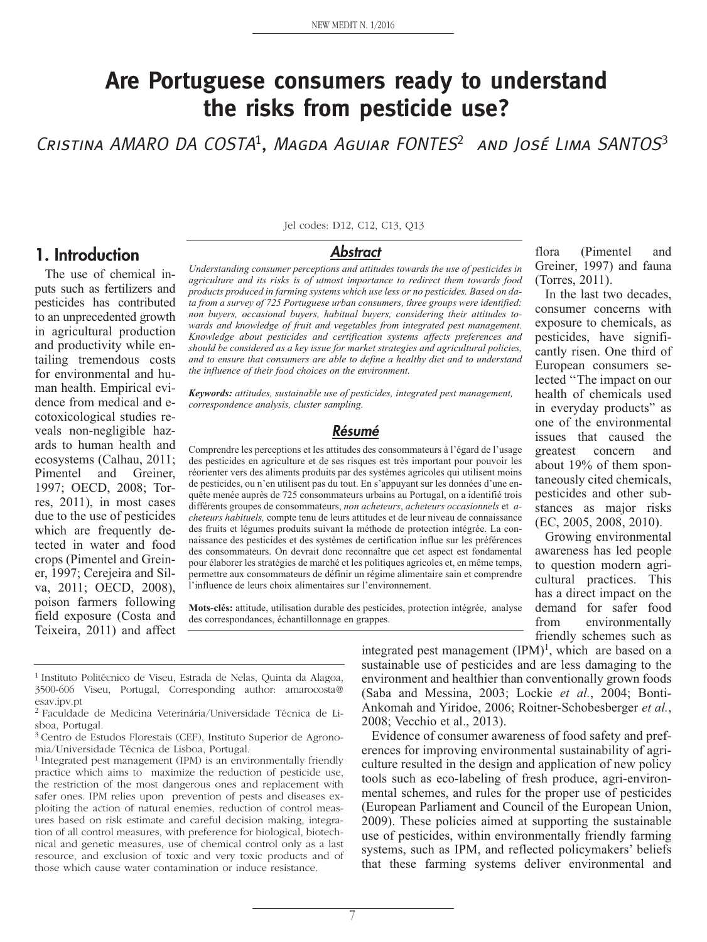# **Are Portuguese consumers ready to understand the risks from pesticide use?**

CRISTINA AMARO DA COSTA<sup>1</sup>, MAGDA AGUIAR FONTES<sup>2</sup> AND JOSÉ LIMA SANTOS<sup>3</sup>

#### **1. Introduction**

The use of chemical inputs such as fertilizers and pesticides has contributed to an unprecedented growth in agricultural production and productivity while entailing tremendous costs for environmental and human health. Empirical evidence from medical and ecotoxicological studies reveals non-negligible hazards to human health and ecosystems (Calhau, 2011; Pimentel and Greiner, 1997; OECD, 2008; Torres, 2011), in most cases due to the use of pesticides which are frequently detected in water and food crops (Pimentel and Greiner, 1997; Cerejeira and Silva, 2011; OECD, 2008), poison farmers following field exposure (Costa and Teixeira, 2011) and affect

Jel codes: D12, C12, C13, Q13

#### **Abstract**

*Understanding consumer perceptions and attitudes towards the use of pesticides in agriculture and its risks is of utmost importance to redirect them towards food products produced in farming systems which use less or no pesticides. Based on data from a survey of 725 Portuguese urban consumers, three groups were identified: non buyers, occasional buyers, habitual buyers, considering their attitudes towards and knowledge of fruit and vegetables from integrated pest management. Knowledge about pesticides and certification systems affects preferences and should be considered as a key issue for market strategies and agricultural policies, and to ensure that consumers are able to define a healthy diet and to understand the influence of their food choices on the environment.*

*Keywords: attitudes, sustainable use of pesticides, integrated pest management, correspondence analysis, cluster sampling.*

#### **Résumé**

Comprendre les perceptions et les attitudes des consommateurs à l'égard de l'usage des pesticides en agriculture et de ses risques est très important pour pouvoir les réorienter vers des aliments produits par des systèmes agricoles qui utilisent moins de pesticides, ou n'en utilisent pas du tout. En s'appuyant sur les données d'une enquête menée auprès de 725 consommateurs urbains au Portugal, on a identifié trois différents groupes de consommateurs, *non acheteurs*, *acheteurs occasionnels* et *acheteurs habituels,* compte tenu de leurs attitudes et de leur niveau de connaissance des fruits et légumes produits suivant la méthode de protection intégrée. La connaissance des pesticides et des systèmes de certification influe sur les préférences des consommateurs. On devrait donc reconnaître que cet aspect est fondamental pour élaborer les stratégies de marché et les politiques agricoles et, en même temps, permettre aux consommateurs de définir un régime alimentaire sain et comprendre l'influence de leurs choix alimentaires sur l'environnement.

**Mots-clés:** attitude, utilisation durable des pesticides, protection intégrée, analyse des correspondances, échantillonnage en grappes.

integrated pest management  $(IPM)^1$ , which are based on a sustainable use of pesticides and are less damaging to the environment and healthier than conventionally grown foods (Saba and Messina, 2003; Lockie *et al.*, 2004; Bonti-Ankomah and Yiridoe, 2006; Roitner-Schobesberger *et al.*, 2008; Vecchio et al., 2013).

Evidence of consumer awareness of food safety and preferences for improving environmental sustainability of agriculture resulted in the design and application of new policy tools such as eco-labeling of fresh produce, agri-environmental schemes, and rules for the proper use of pesticides (European Parliament and Council of the European Union, 2009). These policies aimed at supporting the sustainable use of pesticides, within environmentally friendly farming systems, such as IPM, and reflected policymakers' beliefs that these farming systems deliver environmental and

flora (Pimentel and Greiner, 1997) and fauna (Torres, 2011).

In the last two decades, consumer concerns with exposure to chemicals, as pesticides, have significantly risen. One third of European consumers selected ''The impact on our health of chemicals used in everyday products" as one of the environmental issues that caused the greatest concern and about 19% of them spontaneously cited chemicals, pesticides and other substances as major risks (EC, 2005, 2008, 2010).

Growing environmental awareness has led people to question modern agricultural practices. This has a direct impact on the demand for safer food from environmentally friendly schemes such as

<sup>1</sup> Instituto Politécnico de Viseu, Estrada de Nelas, Quinta da Alagoa, 3500-606 Viseu, Portugal, Corresponding author: amarocosta@ esav.ipv.pt

<sup>2</sup> Faculdade de Medicina Veterinária/Universidade Técnica de Lisboa, Portugal.

<sup>3</sup> Centro de Estudos Florestais (CEF), Instituto Superior de Agronomia/Universidade Técnica de Lisboa, Portugal.

<sup>&</sup>lt;sup>1</sup> Integrated pest management (IPM) is an environmentally friendly practice which aims to maximize the reduction of pesticide use, the restriction of the most dangerous ones and replacement with safer ones. IPM relies upon prevention of pests and diseases exploiting the action of natural enemies, reduction of control measures based on risk estimate and careful decision making, integration of all control measures, with preference for biological, biotechnical and genetic measures, use of chemical control only as a last resource, and exclusion of toxic and very toxic products and of those which cause water contamination or induce resistance.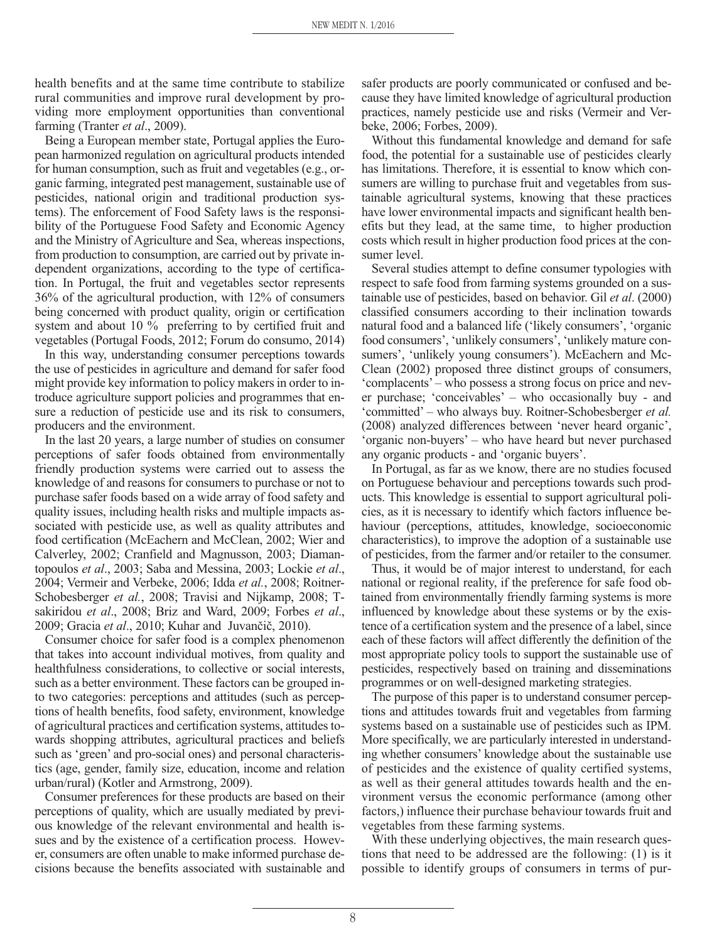health benefits and at the same time contribute to stabilize rural communities and improve rural development by providing more employment opportunities than conventional farming (Tranter *et al*., 2009).

Being a European member state, Portugal applies the European harmonized regulation on agricultural products intended for human consumption, such as fruit and vegetables (e.g., organic farming, integrated pest management, sustainable use of pesticides, national origin and traditional production systems). The enforcement of Food Safety laws is the responsibility of the Portuguese Food Safety and Economic Agency and the Ministry of Agriculture and Sea, whereas inspections, from production to consumption, are carried out by private independent organizations, according to the type of certification. In Portugal, the fruit and vegetables sector represents 36% of the agricultural production, with 12% of consumers being concerned with product quality, origin or certification system and about 10 % preferring to by certified fruit and vegetables (Portugal Foods, 2012; Forum do consumo, 2014)

In this way, understanding consumer perceptions towards the use of pesticides in agriculture and demand for safer food might provide key information to policy makers in order to introduce agriculture support policies and programmes that ensure a reduction of pesticide use and its risk to consumers, producers and the environment.

In the last 20 years, a large number of studies on consumer perceptions of safer foods obtained from environmentally friendly production systems were carried out to assess the knowledge of and reasons for consumers to purchase or not to purchase safer foods based on a wide array of food safety and quality issues, including health risks and multiple impacts associated with pesticide use, as well as quality attributes and food certification (McEachern and McClean, 2002; Wier and Calverley, 2002; Cranfield and Magnusson, 2003; Diamantopoulos *et al*., 2003; Saba and Messina, 2003; Lockie *et al*., 2004; Vermeir and Verbeke, 2006; Idda *et al.*, 2008; Roitner-Schobesberger *et al.*, 2008; Travisi and Nijkamp, 2008; Tsakiridou *et al*., 2008; Briz and Ward, 2009; Forbes *et al*., 2009; Gracia *et al*., 2010; Kuhar and Juvančič, 2010).

Consumer choice for safer food is a complex phenomenon that takes into account individual motives, from quality and healthfulness considerations, to collective or social interests, such as a better environment. These factors can be grouped into two categories: perceptions and attitudes (such as perceptions of health benefits, food safety, environment, knowledge of agricultural practices and certification systems, attitudes towards shopping attributes, agricultural practices and beliefs such as 'green' and pro-social ones) and personal characteristics (age, gender, family size, education, income and relation urban/rural) (Kotler and Armstrong, 2009).

Consumer preferences for these products are based on their perceptions of quality, which are usually mediated by previous knowledge of the relevant environmental and health issues and by the existence of a certification process. However, consumers are often unable to make informed purchase decisions because the benefits associated with sustainable and

safer products are poorly communicated or confused and because they have limited knowledge of agricultural production practices, namely pesticide use and risks (Vermeir and Verbeke, 2006; Forbes, 2009).

Without this fundamental knowledge and demand for safe food, the potential for a sustainable use of pesticides clearly has limitations. Therefore, it is essential to know which consumers are willing to purchase fruit and vegetables from sustainable agricultural systems, knowing that these practices have lower environmental impacts and significant health benefits but they lead, at the same time, to higher production costs which result in higher production food prices at the consumer level.

Several studies attempt to define consumer typologies with respect to safe food from farming systems grounded on a sustainable use of pesticides, based on behavior. Gil *et al*. (2000) classified consumers according to their inclination towards natural food and a balanced life ('likely consumers', 'organic food consumers', 'unlikely consumers', 'unlikely mature consumers', 'unlikely young consumers'). McEachern and Mc-Clean (2002) proposed three distinct groups of consumers, 'complacents' – who possess a strong focus on price and never purchase; 'conceivables' – who occasionally buy - and 'committed' – who always buy. Roitner-Schobesberger *et al.* (2008) analyzed differences between 'never heard organic', 'organic non-buyers' – who have heard but never purchased any organic products - and 'organic buyers'.

In Portugal, as far as we know, there are no studies focused on Portuguese behaviour and perceptions towards such products. This knowledge is essential to support agricultural policies, as it is necessary to identify which factors influence behaviour (perceptions, attitudes, knowledge, socioeconomic characteristics), to improve the adoption of a sustainable use of pesticides, from the farmer and/or retailer to the consumer.

Thus, it would be of major interest to understand, for each national or regional reality, if the preference for safe food obtained from environmentally friendly farming systems is more influenced by knowledge about these systems or by the existence of a certification system and the presence of a label, since each of these factors will affect differently the definition of the most appropriate policy tools to support the sustainable use of pesticides, respectively based on training and disseminations programmes or on well-designed marketing strategies.

The purpose of this paper is to understand consumer perceptions and attitudes towards fruit and vegetables from farming systems based on a sustainable use of pesticides such as IPM. More specifically, we are particularly interested in understanding whether consumers' knowledge about the sustainable use of pesticides and the existence of quality certified systems, as well as their general attitudes towards health and the environment versus the economic performance (among other factors,) influence their purchase behaviour towards fruit and vegetables from these farming systems.

With these underlying objectives, the main research questions that need to be addressed are the following: (1) is it possible to identify groups of consumers in terms of pur-

8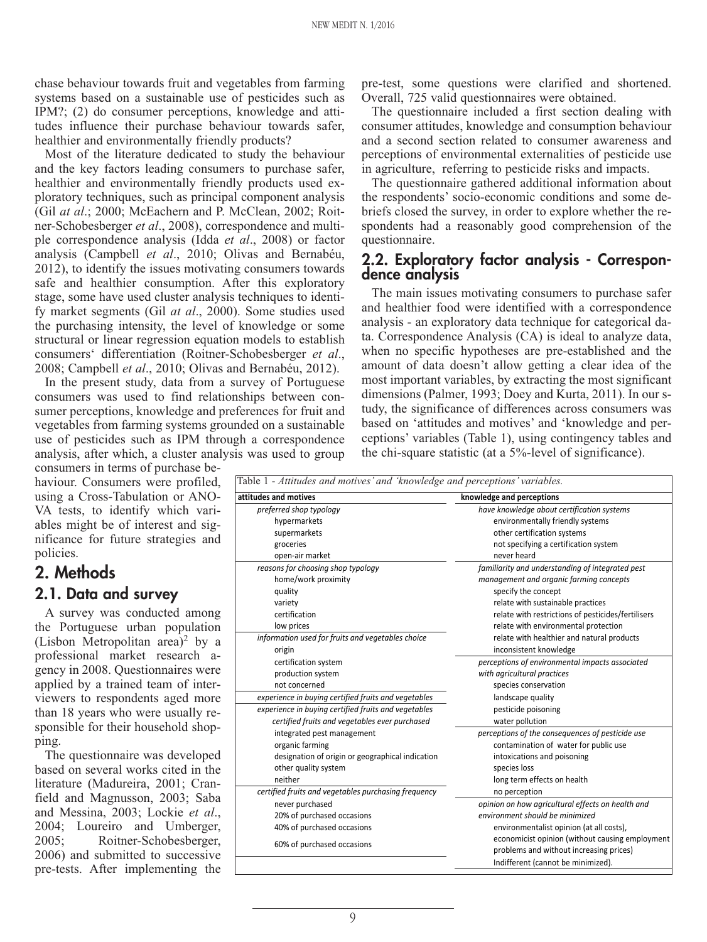chase behaviour towards fruit and vegetables from farming systems based on a sustainable use of pesticides such as IPM?; (2) do consumer perceptions, knowledge and attitudes influence their purchase behaviour towards safer, healthier and environmentally friendly products?

Most of the literature dedicated to study the behaviour and the key factors leading consumers to purchase safer, healthier and environmentally friendly products used exploratory techniques, such as principal component analysis (Gil *at al*.; 2000; McEachern and P. McClean, 2002; Roitner-Schobesberger *et al*., 2008), correspondence and multiple correspondence analysis (Idda *et al*., 2008) or factor analysis (Campbell *et al*., 2010; Olivas and Bernabéu, 2012), to identify the issues motivating consumers towards safe and healthier consumption. After this exploratory stage, some have used cluster analysis techniques to identify market segments (Gil *at al*., 2000). Some studies used the purchasing intensity, the level of knowledge or some structural or linear regression equation models to establish consumers' differentiation (Roitner-Schobesberger *et al*., 2008; Campbell *et al*., 2010; Olivas and Bernabéu, 2012).

In the present study, data from a survey of Portuguese consumers was used to find relationships between consumer perceptions, knowledge and preferences for fruit and vegetables from farming systems grounded on a sustainable use of pesticides such as IPM through a correspondence analysis, after which, a cluster analysis was used to group

consumers in terms of purchase behaviour. Consumers were profiled, using a Cross-Tabulation or ANO-VA tests, to identify which variables might be of interest and significance for future strategies and policies.

# **2. Methods 2.1. Data and survey**

A survey was conducted among the Portuguese urban population (Lisbon Metropolitan area)<sup>2</sup> by a professional market research agency in 2008. Questionnaires were applied by a trained team of interviewers to respondents aged more than 18 years who were usually responsible for their household shopping.

The questionnaire was developed based on several works cited in the literature (Madureira, 2001; Cranfield and Magnusson, 2003; Saba and Messina, 2003; Lockie *et al*., 2004; Loureiro and Umberger, 2005; Roitner-Schobesberger, 2006) and submitted to successive pre-tests. After implementing the

pre-test, some questions were clarified and shortened. Overall, 725 valid questionnaires were obtained.

The questionnaire included a first section dealing with consumer attitudes, knowledge and consumption behaviour and a second section related to consumer awareness and perceptions of environmental externalities of pesticide use in agriculture, referring to pesticide risks and impacts.

The questionnaire gathered additional information about the respondents' socio-economic conditions and some debriefs closed the survey, in order to explore whether the respondents had a reasonably good comprehension of the questionnaire.

#### **2.2. Exploratory factor analysis - Correspondence analysis**

The main issues motivating consumers to purchase safer and healthier food were identified with a correspondence analysis - an exploratory data technique for categorical data. Correspondence Analysis (CA) is ideal to analyze data, when no specific hypotheses are pre-established and the amount of data doesn't allow getting a clear idea of the most important variables, by extracting the most significant dimensions (Palmer, 1993; Doey and Kurta, 2011). In our study, the significance of differences across consumers was based on 'attitudes and motives' and 'knowledge and perceptions' variables (Table 1), using contingency tables and the chi-square statistic (at a 5%-level of significance).

| attitudes and motives                                | knowledge and perceptions                          |  |  |  |
|------------------------------------------------------|----------------------------------------------------|--|--|--|
| preferred shop typology                              | have knowledge about certification systems         |  |  |  |
| hypermarkets                                         | environmentally friendly systems                   |  |  |  |
| supermarkets                                         | other certification systems                        |  |  |  |
| groceries                                            | not specifying a certification system              |  |  |  |
| open-air market                                      | never heard                                        |  |  |  |
| reasons for choosing shop typology                   | familiarity and understanding of integrated pest   |  |  |  |
| home/work proximity                                  | management and organic farming concepts            |  |  |  |
| quality                                              | specify the concept                                |  |  |  |
| variety                                              | relate with sustainable practices                  |  |  |  |
| certification                                        | relate with restrictions of pesticides/fertilisers |  |  |  |
| low prices                                           | relate with environmental protection               |  |  |  |
| information used for fruits and vegetables choice    | relate with healthier and natural products         |  |  |  |
| origin                                               | inconsistent knowledge                             |  |  |  |
| certification system                                 | perceptions of environmental impacts associated    |  |  |  |
| production system                                    | with agricultural practices                        |  |  |  |
| not concerned                                        | species conservation                               |  |  |  |
| experience in buying certified fruits and vegetables | landscape quality                                  |  |  |  |
| experience in buying certified fruits and vegetables | pesticide poisoning                                |  |  |  |
| certified fruits and vegetables ever purchased       | water pollution                                    |  |  |  |
| integrated pest management                           | perceptions of the consequences of pesticide use   |  |  |  |
| organic farming                                      | contamination of water for public use              |  |  |  |
| designation of origin or geographical indication     | intoxications and poisoning                        |  |  |  |
| other quality system                                 | species loss                                       |  |  |  |
| neither                                              | long term effects on health                        |  |  |  |
| certified fruits and vegetables purchasing frequency | no perception                                      |  |  |  |
| never purchased                                      | opinion on how agricultural effects on health and  |  |  |  |
| 20% of purchased occasions                           | environment should be minimized                    |  |  |  |
| 40% of purchased occasions                           | environmentalist opinion (at all costs),           |  |  |  |
| 60% of purchased occasions                           | economicist opinion (without causing employment    |  |  |  |
|                                                      | problems and without increasing prices)            |  |  |  |
|                                                      | Indifferent (cannot be minimized).                 |  |  |  |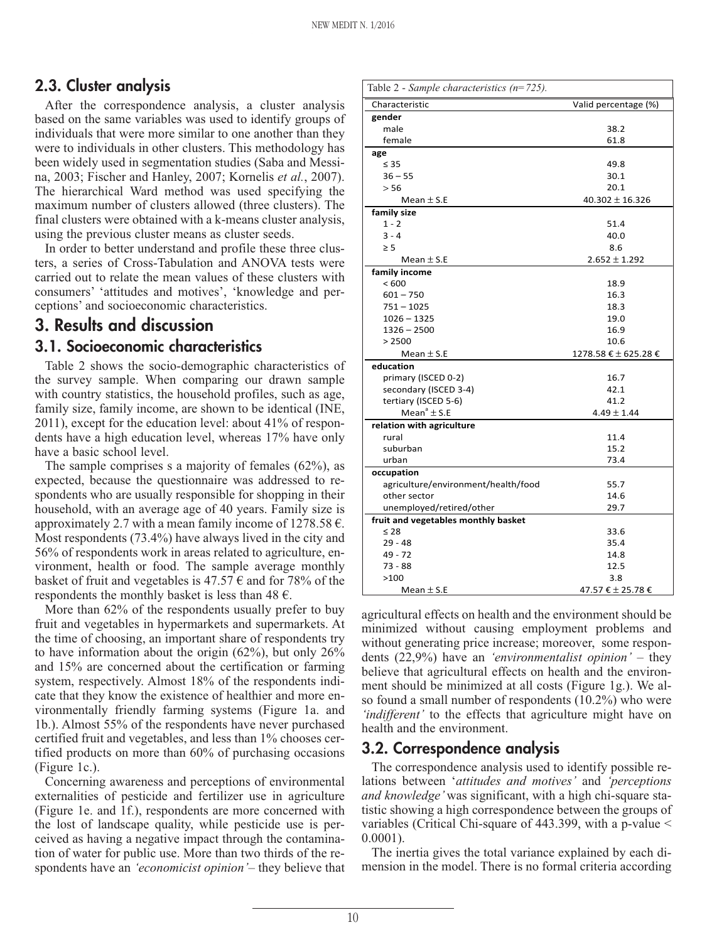## **2.3. Cluster analysis**

After the correspondence analysis, a cluster analysis based on the same variables was used to identify groups of individuals that were more similar to one another than they were to individuals in other clusters. This methodology has been widely used in segmentation studies (Saba and Messina, 2003; Fischer and Hanley, 2007; Kornelis *et al.*, 2007). The hierarchical Ward method was used specifying the maximum number of clusters allowed (three clusters). The final clusters were obtained with a k-means cluster analysis, using the previous cluster means as cluster seeds.

In order to better understand and profile these three clusters, a series of Cross-Tabulation and ANOVA tests were carried out to relate the mean values of these clusters with consumers' 'attitudes and motives', 'knowledge and perceptions' and socioeconomic characteristics.

## **3. Results and discussion**

#### **3.1. Socioeconomic characteristics**

Table 2 shows the socio-demographic characteristics of the survey sample. When comparing our drawn sample with country statistics, the household profiles, such as age, family size, family income, are shown to be identical (INE, 2011), except for the education level: about 41% of respondents have a high education level, whereas 17% have only have a basic school level.

The sample comprises s a majority of females (62%), as expected, because the questionnaire was addressed to respondents who are usually responsible for shopping in their household, with an average age of 40 years. Family size is approximately 2.7 with a mean family income of  $1278.58 \text{ } \epsilon$ . Most respondents (73.4%) have always lived in the city and 56% of respondents work in areas related to agriculture, environment, health or food. The sample average monthly basket of fruit and vegetables is 47.57  $\epsilon$  and for 78% of the respondents the monthly basket is less than  $48 \text{ } \in$ .

More than  $62\%$  of the respondents usually prefer to buy fruit and vegetables in hypermarkets and supermarkets. At the time of choosing, an important share of respondents try to have information about the origin  $(62\%)$ , but only  $26\%$ and 15% are concerned about the certification or farming system, respectively. Almost 18% of the respondents indicate that they know the existence of healthier and more environmentally friendly farming systems (Figure 1a. and 1b.). Almost 55% of the respondents have never purchased certified fruit and vegetables, and less than 1% chooses certified products on more than 60% of purchasing occasions (Figure 1c.).

Concerning awareness and perceptions of environmental externalities of pesticide and fertilizer use in agriculture (Figure 1e. and 1f.), respondents are more concerned with the lost of landscape quality, while pesticide use is perceived as having a negative impact through the contamination of water for public use. More than two thirds of the respondents have an *'economicist opinion'*– they believe that

| Table 2 - Sample characteristics ( $n=725$ ). |                      |
|-----------------------------------------------|----------------------|
| Characteristic                                | Valid percentage (%) |
| gender                                        |                      |
| male                                          | 38.2                 |
| female                                        | 61.8                 |
| age                                           |                      |
| $\leq 35$                                     | 49.8                 |
| $36 - 55$                                     | 30.1                 |
| > 56                                          | 20.1                 |
| Mean $\pm$ S.E                                | $40.302 \pm 16.326$  |
| family size                                   |                      |
| $1 - 2$                                       | 51.4                 |
| $3 - 4$                                       | 40.0                 |
| $\geq$ 5                                      | 8.6                  |
| Mean $\pm$ S.E                                | $2.652 \pm 1.292$    |
| family income                                 |                      |
| <600                                          | 18.9                 |
| $601 - 750$                                   | 16.3                 |
| $751 - 1025$                                  | 18.3                 |
| $1026 - 1325$                                 | 19.0                 |
| $1326 - 2500$                                 | 16.9                 |
| > 2500                                        | 10.6                 |
| Mean $\pm$ S.E                                | 1278.58 € ± 625.28 € |
| education                                     |                      |
| primary (ISCED 0-2)                           | 16.7                 |
| secondary (ISCED 3-4)                         | 42.1                 |
| tertiary (ISCED 5-6)                          | 41.2                 |
| Mean <sup>a</sup> $\pm$ S.E                   | $4.49 \pm 1.44$      |
| relation with agriculture                     |                      |
| rural                                         | 11.4                 |
| suburban                                      | 15.2                 |
| urban                                         | 73.4                 |
| occupation                                    |                      |
| agriculture/environment/health/food           | 55.7                 |
| other sector                                  | 14.6                 |
| unemployed/retired/other                      | 29.7                 |
| fruit and vegetables monthly basket           |                      |
| $\leq 28$                                     | 33.6                 |
| $29 - 48$                                     | 35.4                 |
| $49 - 72$                                     | 14.8                 |
| 73 - 88                                       | 12.5                 |
| >100                                          | 3.8                  |
| Mean $\pm$ S.E                                | 47.57 € ± 25.78 €    |

agricultural effects on health and the environment should be minimized without causing employment problems and without generating price increase; moreover, some respondents (22,9%) have an *'environmentalist opinion'* – they believe that agricultural effects on health and the environment should be minimized at all costs (Figure 1g.). We also found a small number of respondents (10.2%) who were *'indifferent'* to the effects that agriculture might have on health and the environment.

#### **3.2. Correspondence analysis**

The correspondence analysis used to identify possible relations between '*attitudes and motives'* and *'perceptions and knowledge'* was significant, with a high chi-square statistic showing a high correspondence between the groups of variables (Critical Chi-square of 443.399, with a p-value < 0.0001).

The inertia gives the total variance explained by each dimension in the model. There is no formal criteria according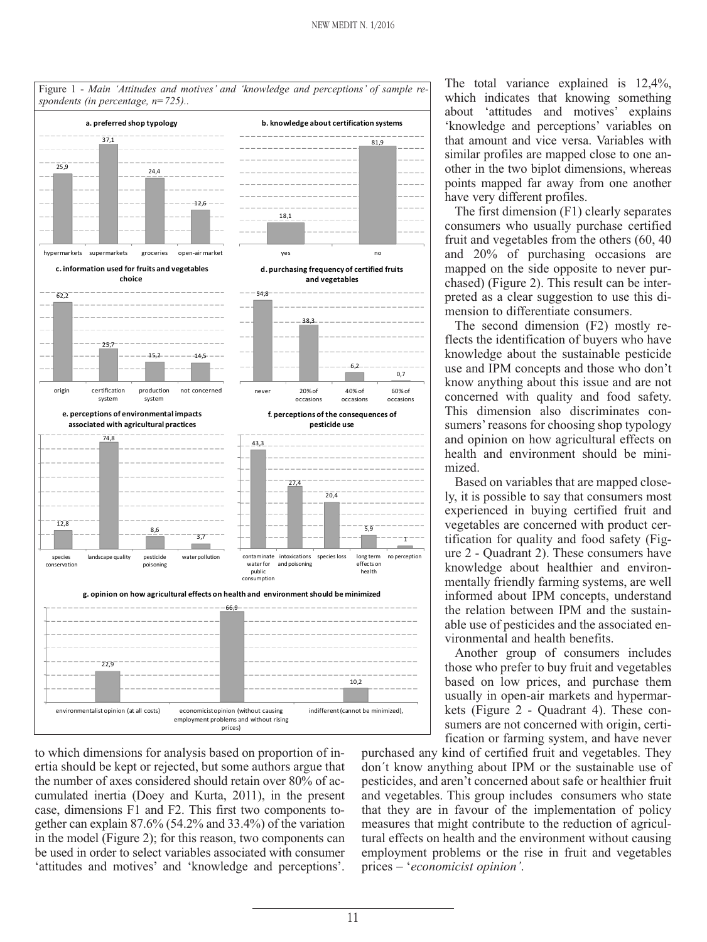

to which dimensions for analysis based on proportion of inertia should be kept or rejected, but some authors argue that the number of axes considered should retain over 80% of accumulated inertia (Doey and Kurta, 2011), in the present case, dimensions F1 and F2. This first two components together can explain 87.6% (54.2% and 33.4%) of the variation in the model (Figure 2); for this reason, two components can be used in order to select variables associated with consumer 'attitudes and motives' and 'knowledge and perceptions'.

The total variance explained is 12,4%, which indicates that knowing something about 'attitudes and motives' explains 'knowledge and perceptions' variables on that amount and vice versa. Variables with similar profiles are mapped close to one another in the two biplot dimensions, whereas points mapped far away from one another have very different profiles.

The first dimension (F1) clearly separates consumers who usually purchase certified fruit and vegetables from the others (60, 40 and 20% of purchasing occasions are mapped on the side opposite to never purchased) (Figure 2). This result can be interpreted as a clear suggestion to use this dimension to differentiate consumers.

The second dimension (F2) mostly reflects the identification of buyers who have knowledge about the sustainable pesticide use and IPM concepts and those who don't know anything about this issue and are not concerned with quality and food safety. This dimension also discriminates consumers' reasons for choosing shop typology and opinion on how agricultural effects on health and environment should be minimized.

Based on variables that are mapped closely, it is possible to say that consumers most experienced in buying certified fruit and vegetables are concerned with product certification for quality and food safety (Figure 2 - Quadrant 2). These consumers have knowledge about healthier and environmentally friendly farming systems, are well informed about IPM concepts, understand the relation between IPM and the sustainable use of pesticides and the associated environmental and health benefits.

Another group of consumers includes those who prefer to buy fruit and vegetables based on low prices, and purchase them usually in open-air markets and hypermarkets (Figure 2 - Quadrant 4). These consumers are not concerned with origin, certification or farming system, and have never

purchased any kind of certified fruit and vegetables. They don´t know anything about IPM or the sustainable use of pesticides, and aren't concerned about safe or healthier fruit and vegetables. This group includes consumers who state that they are in favour of the implementation of policy measures that might contribute to the reduction of agricultural effects on health and the environment without causing employment problems or the rise in fruit and vegetables prices – '*economicist opinion'*.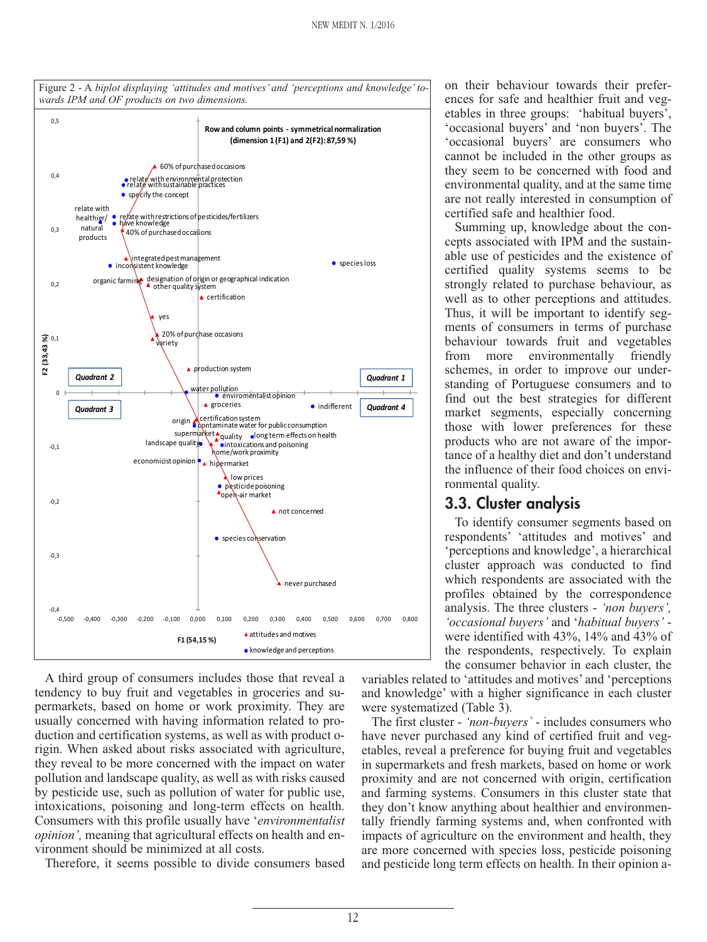

A third group of consumers includes those that reveal a tendency to buy fruit and vegetables in groceries and supermarkets, based on home or work proximity. They are usually concerned with having information related to production and certification systems, as well as with product origin. When asked about risks associated with agriculture, they reveal to be more concerned with the impact on water pollution and landscape quality, as well as with risks caused by pesticide use, such as pollution of water for public use, intoxications, poisoning and long-term effects on health. Consumers with this profile usually have '*environmentalist opinion',* meaning that agricultural effects on health and environment should be minimized at all costs.

Therefore, it seems possible to divide consumers based

on their behaviour towards their preferences for safe and healthier fruit and vegetables in three groups: 'habitual buyers', 'occasional buyers' and 'non buyers'. The 'occasional buyers' are consumers who cannot be included in the other groups as they seem to be concerned with food and environmental quality, and at the same time are not really interested in consumption of certified safe and healthier food.

Summing up, knowledge about the concepts associated with IPM and the sustainable use of pesticides and the existence of certified quality systems seems to be strongly related to purchase behaviour, as well as to other perceptions and attitudes. Thus, it will be important to identify segments of consumers in terms of purchase behaviour towards fruit and vegetables from more environmentally friendly schemes, in order to improve our understanding of Portuguese consumers and to find out the best strategies for different market segments, especially concerning those with lower preferences for these products who are not aware of the importance of a healthy diet and don't understand the influence of their food choices on environmental quality.

## **3.3. Cluster analysis**

To identify consumer segments based on respondents' 'attitudes and motives' and 'perceptions and knowledge', a hierarchical cluster approach was conducted to find which respondents are associated with the profiles obtained by the correspondence analysis. The three clusters - *'non buyers', 'occasional buyers'* and '*habitual buyers'* were identified with 43%, 14% and 43% of the respondents, respectively. To explain the consumer behavior in each cluster, the

variables related to 'attitudes and motives' and 'perceptions and knowledge' with a higher significance in each cluster were systematized (Table 3).

The first cluster - *'non-buyers`* - includes consumers who have never purchased any kind of certified fruit and vegetables, reveal a preference for buying fruit and vegetables in supermarkets and fresh markets, based on home or work proximity and are not concerned with origin, certification and farming systems. Consumers in this cluster state that they don't know anything about healthier and environmentally friendly farming systems and, when confronted with impacts of agriculture on the environment and health, they are more concerned with species loss, pesticide poisoning and pesticide long term effects on health. In their opinion a-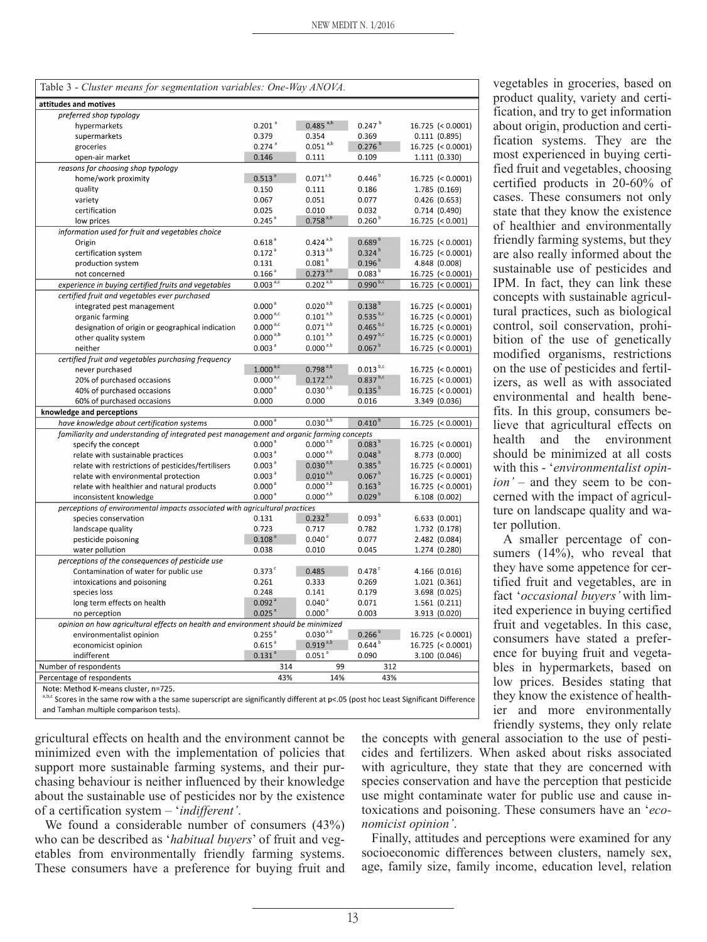| Table 3 - Cluster means for segmentation variables: One-Way ANOVA.                       |                      |                                |                           |                     |  |  |  |  |
|------------------------------------------------------------------------------------------|----------------------|--------------------------------|---------------------------|---------------------|--|--|--|--|
| attitudes and motives                                                                    |                      |                                |                           |                     |  |  |  |  |
| preferred shop typology                                                                  |                      |                                |                           |                     |  |  |  |  |
| hypermarkets                                                                             | $0.201$ <sup>a</sup> | $0.485$ <sup>a,b</sup>         | $0.247^{b}$               | $16.725$ (< 0.0001) |  |  |  |  |
| supermarkets                                                                             | 0.379                | 0.354                          | 0.369                     | 0.111(0.895)        |  |  |  |  |
| groceries                                                                                | $0.274$ <sup>a</sup> | $0.051$ <sup>a,b</sup>         | 0.276 <sup>b</sup>        | $16.725$ (< 0.0001) |  |  |  |  |
| open-air market                                                                          | 0.146                | 0.111                          | 0.109                     | 1.111(0.330)        |  |  |  |  |
| reasons for choosing shop typology                                                       |                      |                                |                           |                     |  |  |  |  |
| home/work proximity                                                                      | 0.513 <sup>a</sup>   | $0.071^{a,b}$                  | $0.446^{b}$               | $16.725$ (< 0.0001) |  |  |  |  |
| quality                                                                                  | 0.150                | 0.111                          | 0.186                     | 1.785 (0.169)       |  |  |  |  |
| variety                                                                                  | 0.067                | 0.051                          | 0.077                     | 0.426(0.653)        |  |  |  |  |
| certification                                                                            | 0.025                | 0.010                          | 0.032                     | 0.714(0.490)        |  |  |  |  |
| low prices                                                                               | $0.245$ <sup>a</sup> | $0.758^{a,b}$                  | 0.260 <sup>b</sup>        | $16.725$ (< 0.001)  |  |  |  |  |
| information used for fruit and vegetables choice                                         |                      |                                |                           |                     |  |  |  |  |
| Origin                                                                                   | 0.618 <sup>3</sup>   | $0.424^{a,b}$                  | 0.689 <sup>b</sup>        | $16.725$ (< 0.0001) |  |  |  |  |
| certification system                                                                     | $0.172$ <sup>a</sup> | $0.313^{a,b}$                  | $0.324^{b}$               | $16.725$ (< 0.0001) |  |  |  |  |
| production system                                                                        | 0.131                | 0.081 <sup>b</sup>             | 0.196 <sup>b</sup>        | 4.848 (0.008)       |  |  |  |  |
| not concerned                                                                            | 0.166 <sup>a</sup>   | $0.273^{a,b}$                  | 0.083 <sup>b</sup>        | $16.725$ (< 0.0001) |  |  |  |  |
| experience in buying certified fruits and vegetables                                     | $0.003^{a,c}$        | $0.202^{a,b}$                  | $0.990^{b,c}$             | $16.725$ (< 0.0001) |  |  |  |  |
| certified fruit and vegetables ever purchased                                            |                      |                                |                           |                     |  |  |  |  |
| integrated pest management                                                               | 0.000 <sup>a</sup>   | $0.020^{a,b}$                  | $0.138^{b}$               | $16.725$ (< 0.0001) |  |  |  |  |
| organic farming                                                                          | $0.000^{a,c}$        | $0.101^{a,b}$                  | $0.535^{b,c}$             | $16.725$ (< 0.0001) |  |  |  |  |
|                                                                                          | $0.000^{a,c}$        |                                | $0.465^{ b,c}$            |                     |  |  |  |  |
| designation of origin or geographical indication                                         |                      | $0.071^{a,b}$<br>$0.101^{a,b}$ | $0.497^{ b,c}$            | $16.725$ (< 0.0001) |  |  |  |  |
| other quality system                                                                     | $0.000^{a,b}$        |                                |                           | $16.725$ (< 0.0001) |  |  |  |  |
| neither                                                                                  | 0.003 <sup>a</sup>   | $0.000^{a,b}$                  | 0.067 <sup>b</sup>        | $16.725$ (< 0.0001) |  |  |  |  |
| certified fruit and vegetables purchasing frequency                                      |                      |                                |                           |                     |  |  |  |  |
| never purchased                                                                          | $1.000^{a,c}$        | $0.798^{a,b}$                  | $0.013$ $^{\mathrm{b,c}}$ | $16.725$ (< 0.0001) |  |  |  |  |
| 20% of purchased occasions                                                               | $0.000^{a,c}$        | $0.172^{a,b}$                  | $0.837^{b,c}$             | $16.725$ (< 0.0001) |  |  |  |  |
| 40% of purchased occasions                                                               | 0.000 <sup>a</sup>   | $0.030^{a,b}$                  | $0.135^{b}$               | $16.725$ (< 0.0001) |  |  |  |  |
| 60% of purchased occasions                                                               | 0.000                | 0.000                          | 0.016                     | 3.349 (0.036)       |  |  |  |  |
| knowledge and perceptions                                                                |                      |                                |                           |                     |  |  |  |  |
| have knowledge about certification systems                                               | 0.000 <sup>3</sup>   | $0.030^{a,b}$                  | $0.410^{b}$               | $16.725$ (< 0.0001) |  |  |  |  |
| familiarity and understanding of integrated pest management and organic farming concepts |                      |                                |                           |                     |  |  |  |  |
| specify the concept                                                                      | 0.000 <sup>3</sup>   | $0.000^{a,b}$                  | 0.083 <sup>b</sup>        | $16.725$ (< 0.0001) |  |  |  |  |
| relate with sustainable practices                                                        | 0.003 <sup>a</sup>   | $0.000^{a,b}$                  | 0.048 <sup>b</sup>        | 8.773 (0.000)       |  |  |  |  |
| relate with restrictions of pesticides/fertilisers                                       | 0.003 <sup>a</sup>   | $0.030^{a,b}$                  | $0.385^{b}$               | $16.725$ (< 0.0001) |  |  |  |  |
| relate with environmental protection                                                     | 0.003 <sup>a</sup>   | $0.010^{a,b}$                  | 0.067 <sup>b</sup>        | $16.725$ (< 0.0001) |  |  |  |  |
| relate with healthier and natural products                                               | 0.000 <sup>3</sup>   | $0.000^{a,b}$                  | $0.163^{b}$               | $16.725$ (< 0.0001) |  |  |  |  |
| inconsistent knowledge                                                                   | 0.000 <sup>3</sup>   | $0.000^{a,b}$                  | 0.029 <sup>b</sup>        | 6.108 (0.002)       |  |  |  |  |
| perceptions of environmental impacts associated with agricultural practices              |                      |                                |                           |                     |  |  |  |  |
| species conservation                                                                     | 0.131                | $0.232^{b}$                    | 0.093 <sup>b</sup>        | 6.633 (0.001)       |  |  |  |  |
| landscape quality                                                                        | 0.723                | 0.717                          | 0.782                     | 1.732 (0.178)       |  |  |  |  |
| pesticide poisoning                                                                      | 0.108 <sup>3</sup>   | 0.040 <sup>3</sup>             | 0.077                     | 2.482 (0.084)       |  |  |  |  |
| water pollution                                                                          | 0.038                | 0.010                          | 0.045                     | 1.274 (0.280)       |  |  |  |  |
| perceptions of the consequences of pesticide use                                         |                      |                                |                           |                     |  |  |  |  |
| Contamination of water for public use                                                    | $0.373$ <sup>c</sup> | 0.485                          | $0.478$ <sup>c</sup>      | 4.166 (0.016)       |  |  |  |  |
|                                                                                          | 0.261                | 0.333                          | 0.269                     |                     |  |  |  |  |
| intoxications and poisoning                                                              | 0.248                |                                |                           | 1.021 (0.361)       |  |  |  |  |
| species loss                                                                             | 0.092 <sup>a</sup>   | 0.141<br>0.040 <sup>3</sup>    | 0.179                     | 3.698 (0.025)       |  |  |  |  |
| long term effects on health                                                              |                      |                                | 0.071                     | 1.561(0.211)        |  |  |  |  |
| no perception                                                                            | $0.025$ <sup>a</sup> | 0.000 <sup>a</sup>             | 0.003                     | 3.913 (0.020)       |  |  |  |  |
| opinion on how agricultural effects on health and environment should be minimized        |                      |                                |                           |                     |  |  |  |  |
| environmentalist opinion                                                                 | $0.255$ <sup>a</sup> | $0.030^{a,b}$                  | 0.266 <sup>b</sup>        | 16.725 (< 0.0001)   |  |  |  |  |
| economicist opinion                                                                      | $0.615$ <sup>a</sup> | $0.919^{a,b}$                  | 0.644 <sup>b</sup>        | $16.725$ (< 0.0001) |  |  |  |  |
| indifferent                                                                              | $0.131$ <sup>a</sup> | $0.051$ <sup>a</sup>           | 0.090                     | 3.100 (0.046)       |  |  |  |  |
| Number of respondents                                                                    | 314                  | 99                             | 312                       |                     |  |  |  |  |
| Percentage of respondents                                                                | 43%                  | 14%                            | 43%                       |                     |  |  |  |  |
| Note: Method K-means cluster, n=725.                                                     |                      |                                |                           |                     |  |  |  |  |

Cores in the same row with a the same superscript are significantly different at p<.05 (post hoc Least Significant Difference and Tamhan multiple comparison tests).

gricultural effects on health and the environment cannot be minimized even with the implementation of policies that support more sustainable farming systems, and their purchasing behaviour is neither influenced by their knowledge about the sustainable use of pesticides nor by the existence of a certification system – '*indifferent'*.

We found a considerable number of consumers  $(43%)$ who can be described as '*habitual buyers*' of fruit and vegetables from environmentally friendly farming systems. These consumers have a preference for buying fruit and vegetables in groceries, based on product quality, variety and certification, and try to get information about origin, production and certification systems. They are the most experienced in buying certified fruit and vegetables, choosing certified products in 20-60% of cases. These consumers not only state that they know the existence of healthier and environmentally friendly farming systems, but they are also really informed about the sustainable use of pesticides and IPM. In fact, they can link these concepts with sustainable agricultural practices, such as biological control, soil conservation, prohibition of the use of genetically modified organisms, restrictions on the use of pesticides and fertilizers, as well as with associated environmental and health benefits. In this group, consumers believe that agricultural effects on health and the environment should be minimized at all costs with this - '*environmentalist opinion'* – and they seem to be concerned with the impact of agriculture on landscape quality and water pollution.

A smaller percentage of consumers  $(14\%)$ , who reveal that they have some appetence for certified fruit and vegetables, are in fact '*occasional buyers'* with limited experience in buying certified fruit and vegetables. In this case, consumers have stated a preference for buying fruit and vegetables in hypermarkets, based on low prices. Besides stating that they know the existence of healthier and more environmentally friendly systems, they only relate

the concepts with general association to the use of pesticides and fertilizers. When asked about risks associated with agriculture, they state that they are concerned with species conservation and have the perception that pesticide use might contaminate water for public use and cause intoxications and poisoning. These consumers have an '*economicist opinion'*.

Finally, attitudes and perceptions were examined for any socioeconomic differences between clusters, namely sex, age, family size, family income, education level, relation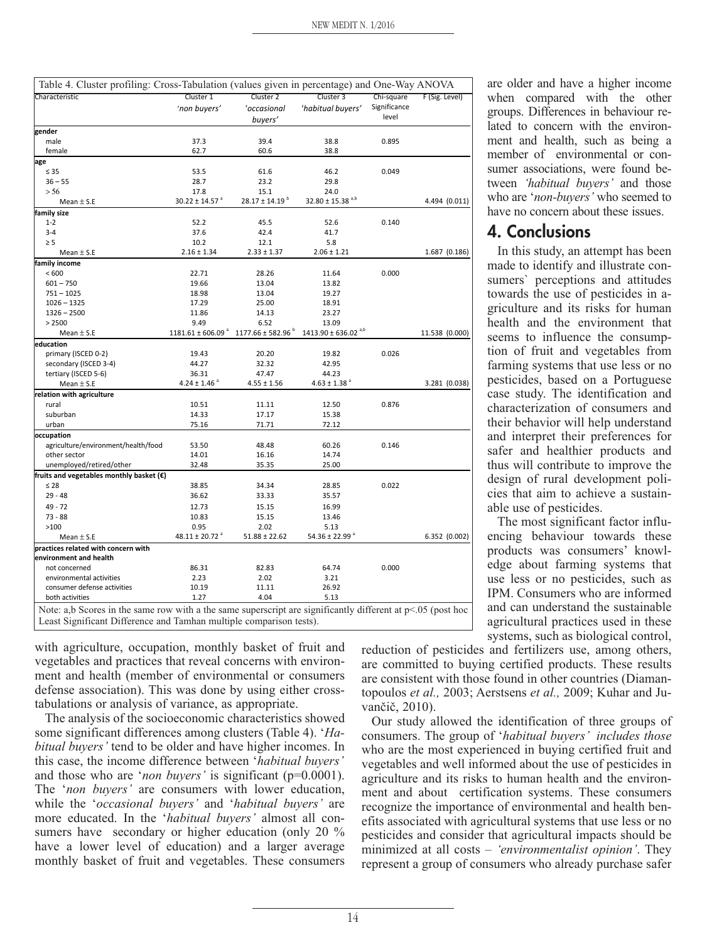| Table 4. Cluster profiling: Cross-Tabulation (values given in percentage) and One-Way ANOVA |                                       |                                |                                              |                       |                |  |  |
|---------------------------------------------------------------------------------------------|---------------------------------------|--------------------------------|----------------------------------------------|-----------------------|----------------|--|--|
| Characteristic                                                                              | Cluster 1                             | Cluster 2                      | Cluster 3                                    | Chi-square            | F (Sig. Level) |  |  |
|                                                                                             | 'non buyers'                          | 'occasional                    | 'habitual buyers'                            | Significance<br>level |                |  |  |
|                                                                                             |                                       | buyers'                        |                                              |                       |                |  |  |
| gender                                                                                      |                                       |                                |                                              |                       |                |  |  |
| male                                                                                        | 37.3                                  | 39.4                           | 38.8                                         | 0.895                 |                |  |  |
| female                                                                                      | 62.7                                  | 60.6                           | 38.8                                         |                       |                |  |  |
| age                                                                                         |                                       |                                |                                              |                       |                |  |  |
| $\leq 35$                                                                                   | 53.5                                  | 61.6                           | 46.2                                         | 0.049                 |                |  |  |
| $36 - 55$                                                                                   | 28.7                                  | 23.2                           | 29.8                                         |                       |                |  |  |
| > 56                                                                                        | 17.8                                  | 15.1                           | 24.0                                         |                       |                |  |  |
| Mean $\pm$ S.E                                                                              | $30.22 \pm 14.57$ <sup>a</sup>        | $28.17 \pm 14.19$ <sup>b</sup> | $32.80 \pm 15.38$ <sup>a,b</sup>             |                       | 4.494 (0.011)  |  |  |
| family size                                                                                 |                                       |                                |                                              |                       |                |  |  |
| $1 - 2$                                                                                     | 52.2                                  | 45.5                           | 52.6                                         | 0.140                 |                |  |  |
| $3 - 4$                                                                                     | 37.6                                  | 42.4                           | 41.7                                         |                       |                |  |  |
| $\geq$ 5                                                                                    | 10.2                                  | 12.1                           | 5.8                                          |                       |                |  |  |
| Mean $\pm$ S.E                                                                              | $2.16 \pm 1.34$                       | $2.33 \pm 1.37$                | $2.06 \pm 1.21$                              |                       | 1.687 (0.186)  |  |  |
| family income                                                                               |                                       |                                |                                              |                       |                |  |  |
| < 600                                                                                       | 22.71                                 | 28.26                          | 11.64                                        | 0.000                 |                |  |  |
| $601 - 750$                                                                                 | 19.66                                 | 13.04                          | 13.82                                        |                       |                |  |  |
| $751 - 1025$                                                                                | 18.98                                 | 13.04                          | 19.27                                        |                       |                |  |  |
| $1026 - 1325$                                                                               | 17.29                                 | 25.00                          | 18.91                                        |                       |                |  |  |
| $1326 - 2500$                                                                               | 11.86<br>9.49                         | 14.13                          | 23.27                                        |                       |                |  |  |
| > 2500                                                                                      | $1181.61 \pm 606.09$ <sup>a</sup>     | 6.52<br>$1177.66 \pm 582.96$   | 13.09<br>$1413.90 \pm 636.02$ <sup>a,b</sup> |                       |                |  |  |
| Mean $\pm$ S.E                                                                              |                                       |                                |                                              |                       | 11.538 (0.000) |  |  |
| education                                                                                   |                                       |                                |                                              |                       |                |  |  |
| primary (ISCED 0-2)                                                                         | 19.43                                 | 20.20                          | 19.82                                        | 0.026                 |                |  |  |
| secondary (ISCED 3-4)                                                                       | 44.27                                 | 32.32                          | 42.95                                        |                       |                |  |  |
| tertiary (ISCED 5-6)                                                                        | 36.31<br>$4.24 \pm 1.46$ <sup>a</sup> | 47.47<br>$4.55 \pm 1.56$       | 44.23<br>$4.63 \pm 1.38$ <sup>a</sup>        |                       |                |  |  |
| Mean $\pm$ S.E                                                                              |                                       |                                |                                              |                       | 3.281 (0.038)  |  |  |
| relation with agriculture                                                                   |                                       |                                |                                              |                       |                |  |  |
| rural<br>suburban                                                                           | 10.51<br>14.33                        | 11.11<br>17.17                 | 12.50<br>15.38                               | 0.876                 |                |  |  |
| urban                                                                                       | 75.16                                 | 71.71                          | 72.12                                        |                       |                |  |  |
|                                                                                             |                                       |                                |                                              |                       |                |  |  |
| occupation                                                                                  | 53.50                                 | 48.48                          | 60.26                                        | 0.146                 |                |  |  |
| agriculture/environment/health/food<br>other sector                                         | 14.01                                 | 16.16                          | 14.74                                        |                       |                |  |  |
| unemployed/retired/other                                                                    | 32.48                                 | 35.35                          | 25.00                                        |                       |                |  |  |
| fruits and vegetables monthly basket $(\epsilon)$                                           |                                       |                                |                                              |                       |                |  |  |
| $\leq 28$                                                                                   | 38.85                                 | 34.34                          | 28.85                                        | 0.022                 |                |  |  |
| $29 - 48$                                                                                   | 36.62                                 | 33.33                          | 35.57                                        |                       |                |  |  |
|                                                                                             |                                       |                                |                                              |                       |                |  |  |
| $49 - 72$                                                                                   | 12.73                                 | 15.15                          | 16.99                                        |                       |                |  |  |
| $73 - 88$<br>>100                                                                           | 10.83<br>0.95                         | 15.15                          | 13.46                                        |                       |                |  |  |
| Mean $\pm$ S.E                                                                              | 48.11 ± 20.72 $^{\circ}$              | 2.02<br>$51.88 \pm 22.62$      | 5.13<br>54.36 ± 22.99 $^a$                   |                       | 6.352 (0.002)  |  |  |
|                                                                                             |                                       |                                |                                              |                       |                |  |  |
| practices related with concern with<br>environment and health                               |                                       |                                |                                              |                       |                |  |  |
| not concerned                                                                               | 86.31                                 | 82.83                          | 64.74                                        | 0.000                 |                |  |  |
| environmental activities                                                                    | 2.23                                  | 2.02                           | 3.21                                         |                       |                |  |  |
| consumer defense activities                                                                 | 10.19                                 | 11.11                          | 26.92                                        |                       |                |  |  |
| both activities                                                                             | 1.27                                  | 4.04                           | 5.13                                         |                       |                |  |  |
|                                                                                             |                                       |                                |                                              |                       |                |  |  |

with agriculture, occupation, monthly basket of fruit and vegetables and practices that reveal concerns with environment and health (member of environmental or consumers defense association). This was done by using either crosstabulations or analysis of variance, as appropriate.

The analysis of the socioeconomic characteristics showed some significant differences among clusters (Table 4). '*Habitual buyers'* tend to be older and have higher incomes. In this case, the income difference between '*habitual buyers'* and those who are '*non buyers'* is significant (p=0.0001). The '*non buyers'* are consumers with lower education, while the '*occasional buyers'* and '*habitual buyers'* are more educated. In the '*habitual buyers'* almost all consumers have secondary or higher education (only 20 % have a lower level of education) and a larger average monthly basket of fruit and vegetables. These consumers

are older and have a higher income when compared with the other groups. Differences in behaviour related to concern with the environment and health, such as being a member of environmental or consumer associations, were found between *'habitual buyers'* and those who are '*non-buyers'* who seemed to have no concern about these issues.

# **4. Conclusions**

In this study, an attempt has been made to identify and illustrate consumers` perceptions and attitudes towards the use of pesticides in agriculture and its risks for human health and the environment that seems to influence the consumption of fruit and vegetables from farming systems that use less or no pesticides, based on a Portuguese case study. The identification and characterization of consumers and their behavior will help understand and interpret their preferences for safer and healthier products and thus will contribute to improve the design of rural development policies that aim to achieve a sustainable use of pesticides.

The most significant factor influencing behaviour towards these products was consumers' knowledge about farming systems that use less or no pesticides, such as IPM. Consumers who are informed and can understand the sustainable agricultural practices used in these systems, such as biological control,

reduction of pesticides and fertilizers use, among others, are committed to buying certified products. These results are consistent with those found in other countries (Diamantopoulos *et al.,* 2003; Aerstsens *et al.,* 2009; Kuhar and Juvančič, 2010).

Our study allowed the identification of three groups of consumers. The group of '*habitual buyers' includes those* who are the most experienced in buying certified fruit and vegetables and well informed about the use of pesticides in agriculture and its risks to human health and the environment and about certification systems. These consumers recognize the importance of environmental and health benefits associated with agricultural systems that use less or no pesticides and consider that agricultural impacts should be minimized at all costs – *'environmentalist opinion'*. They represent a group of consumers who already purchase safer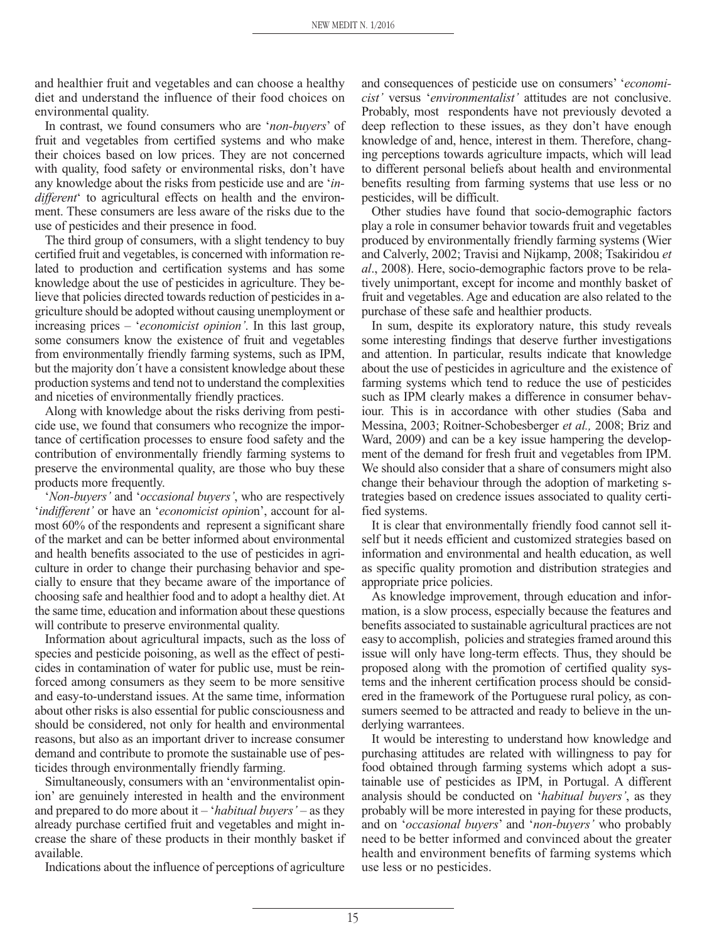and healthier fruit and vegetables and can choose a healthy diet and understand the influence of their food choices on environmental quality.

In contrast, we found consumers who are '*non-buyers*' of fruit and vegetables from certified systems and who make their choices based on low prices. They are not concerned with quality, food safety or environmental risks, don't have any knowledge about the risks from pesticide use and are '*indifferent*' to agricultural effects on health and the environment. These consumers are less aware of the risks due to the use of pesticides and their presence in food.

The third group of consumers, with a slight tendency to buy certified fruit and vegetables, is concerned with information related to production and certification systems and has some knowledge about the use of pesticides in agriculture. They believe that policies directed towards reduction of pesticides in agriculture should be adopted without causing unemployment or increasing prices – '*economicist opinion'*. In this last group, some consumers know the existence of fruit and vegetables from environmentally friendly farming systems, such as IPM, but the majority don´t have a consistent knowledge about these production systems and tend not to understand the complexities and niceties of environmentally friendly practices.

Along with knowledge about the risks deriving from pesticide use, we found that consumers who recognize the importance of certification processes to ensure food safety and the contribution of environmentally friendly farming systems to preserve the environmental quality, are those who buy these products more frequently.

'*Non-buyers'* and '*occasional buyers'*, who are respectively '*indifferent'* or have an '*economicist opinio*n', account for almost 60% of the respondents and represent a significant share of the market and can be better informed about environmental and health benefits associated to the use of pesticides in agriculture in order to change their purchasing behavior and specially to ensure that they became aware of the importance of choosing safe and healthier food and to adopt a healthy diet. At the same time, education and information about these questions will contribute to preserve environmental quality.

Information about agricultural impacts, such as the loss of species and pesticide poisoning, as well as the effect of pesticides in contamination of water for public use, must be reinforced among consumers as they seem to be more sensitive and easy-to-understand issues. At the same time, information about other risks is also essential for public consciousness and should be considered, not only for health and environmental reasons, but also as an important driver to increase consumer demand and contribute to promote the sustainable use of pesticides through environmentally friendly farming.

Simultaneously, consumers with an 'environmentalist opinion' are genuinely interested in health and the environment and prepared to do more about it – '*habitual buyers'* – as they already purchase certified fruit and vegetables and might increase the share of these products in their monthly basket if available.

Indications about the influence of perceptions of agriculture

and consequences of pesticide use on consumers' '*economicist'* versus '*environmentalist'* attitudes are not conclusive. Probably, most respondents have not previously devoted a deep reflection to these issues, as they don't have enough knowledge of and, hence, interest in them. Therefore, changing perceptions towards agriculture impacts, which will lead to different personal beliefs about health and environmental benefits resulting from farming systems that use less or no pesticides, will be difficult.

Other studies have found that socio-demographic factors play a role in consumer behavior towards fruit and vegetables produced by environmentally friendly farming systems (Wier and Calverly, 2002; Travisi and Nijkamp, 2008; Tsakiridou *et al*., 2008). Here, socio-demographic factors prove to be relatively unimportant, except for income and monthly basket of fruit and vegetables. Age and education are also related to the purchase of these safe and healthier products.

In sum, despite its exploratory nature, this study reveals some interesting findings that deserve further investigations and attention. In particular, results indicate that knowledge about the use of pesticides in agriculture and the existence of farming systems which tend to reduce the use of pesticides such as IPM clearly makes a difference in consumer behaviour. This is in accordance with other studies (Saba and Messina, 2003; Roitner-Schobesberger *et al.,* 2008; Briz and Ward, 2009) and can be a key issue hampering the development of the demand for fresh fruit and vegetables from IPM. We should also consider that a share of consumers might also change their behaviour through the adoption of marketing strategies based on credence issues associated to quality certified systems.

It is clear that environmentally friendly food cannot sell itself but it needs efficient and customized strategies based on information and environmental and health education, as well as specific quality promotion and distribution strategies and appropriate price policies.

As knowledge improvement, through education and information, is a slow process, especially because the features and benefits associated to sustainable agricultural practices are not easy to accomplish, policies and strategies framed around this issue will only have long-term effects. Thus, they should be proposed along with the promotion of certified quality systems and the inherent certification process should be considered in the framework of the Portuguese rural policy, as consumers seemed to be attracted and ready to believe in the underlying warrantees.

It would be interesting to understand how knowledge and purchasing attitudes are related with willingness to pay for food obtained through farming systems which adopt a sustainable use of pesticides as IPM, in Portugal. A different analysis should be conducted on '*habitual buyers'*, as they probably will be more interested in paying for these products, and on '*occasional buyers*' and '*non-buyers'* who probably need to be better informed and convinced about the greater health and environment benefits of farming systems which use less or no pesticides.